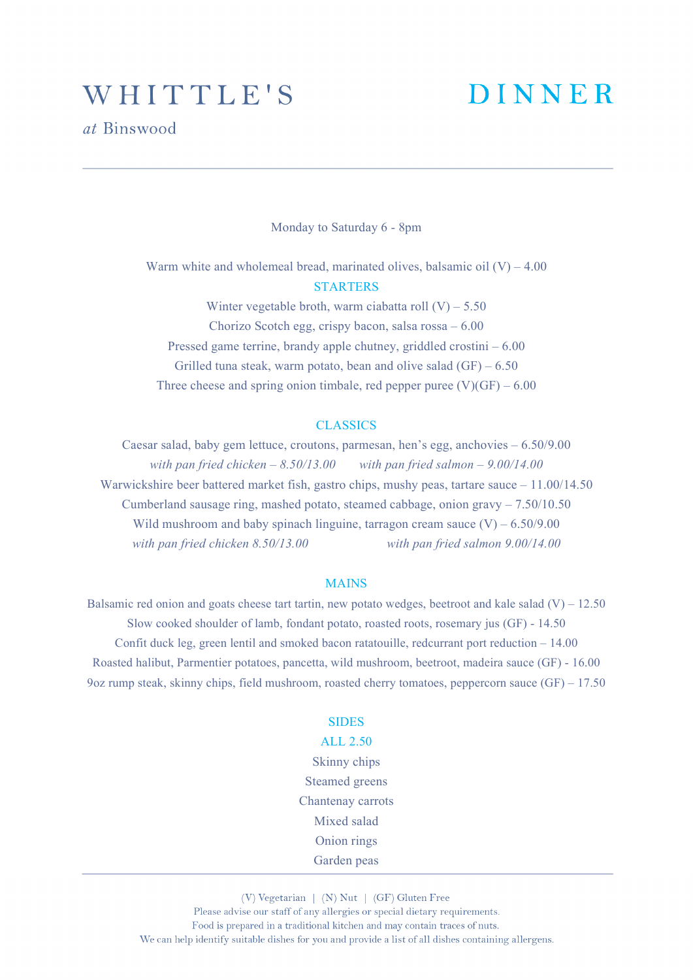## WHITTLE'S

# **DINNER**

Monday to Saturday 6 - 8pm

Warm white and wholemeal bread, marinated olives, balsamic oil  $(V) - 4.00$ **STARTERS** Winter vegetable broth, warm ciabatta roll  $(V)$  – 5.50

Chorizo Scotch egg, crispy bacon, salsa rossa – 6.00 Pressed game terrine, brandy apple chutney, griddled crostini – 6.00 Grilled tuna steak, warm potato, bean and olive salad  $(GF) - 6.50$ Three cheese and spring onion timbale, red pepper puree  $(V)(GF) - 6.00$ 

#### CLASSICS

Caesar salad, baby gem lettuce, croutons, parmesan, hen's egg, anchovies – 6.50/9.00 *with pan fried chicken – 8.50/13.00 with pan fried salmon – 9.00/14.00* Warwickshire beer battered market fish, gastro chips, mushy peas, tartare sauce – 11.00/14.50 Cumberland sausage ring, mashed potato, steamed cabbage, onion gravy  $-7.50/10.50$ Wild mushroom and baby spinach linguine, tarragon cream sauce  $(V) - 6.50/9.00$ *with pan fried chicken 8.50/13.00 with pan fried salmon 9.00/14.00*

#### **MAINS**

Balsamic red onion and goats cheese tart tartin, new potato wedges, beetroot and kale salad  $(V) - 12.50$ Slow cooked shoulder of lamb, fondant potato, roasted roots, rosemary jus (GF) - 14.50 Confit duck leg, green lentil and smoked bacon ratatouille, redcurrant port reduction – 14.00 Roasted halibut, Parmentier potatoes, pancetta, wild mushroom, beetroot, madeira sauce (GF) - 16.00 9oz rump steak, skinny chips, field mushroom, roasted cherry tomatoes, peppercorn sauce (GF) – 17.50

### SIDES

#### ALL 2.50

Skinny chips Steamed greens Chantenay carrots Mixed salad Onion rings Garden peas

(V) Vegetarian | (N) Nut | (GF) Gluten Free Please advise our staff of any allergies or special dietary requirements. Food is prepared in a traditional kitchen and may contain traces of nuts. We can help identify suitable dishes for you and provide a list of all dishes containing allergens.